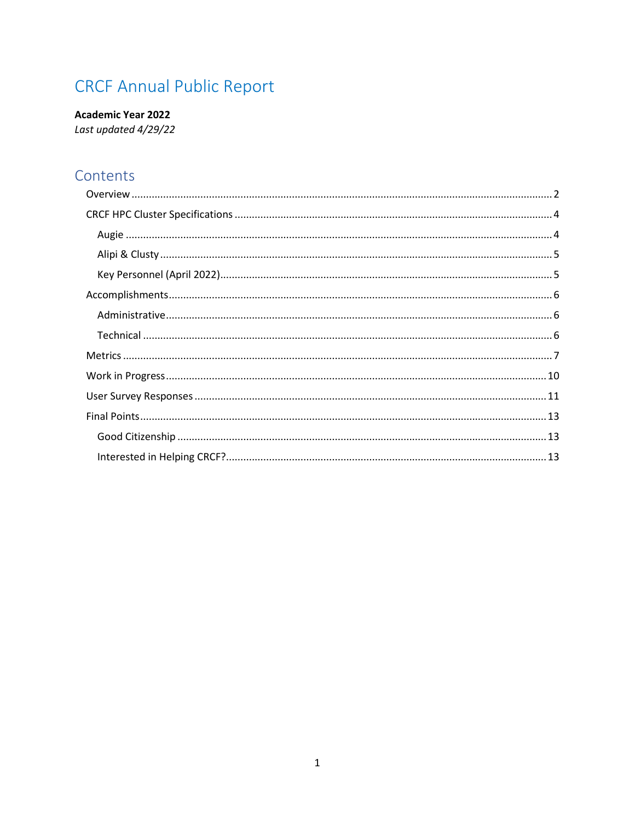# **CRCF Annual Public Report**

**Academic Year 2022** Last updated 4/29/22

# Contents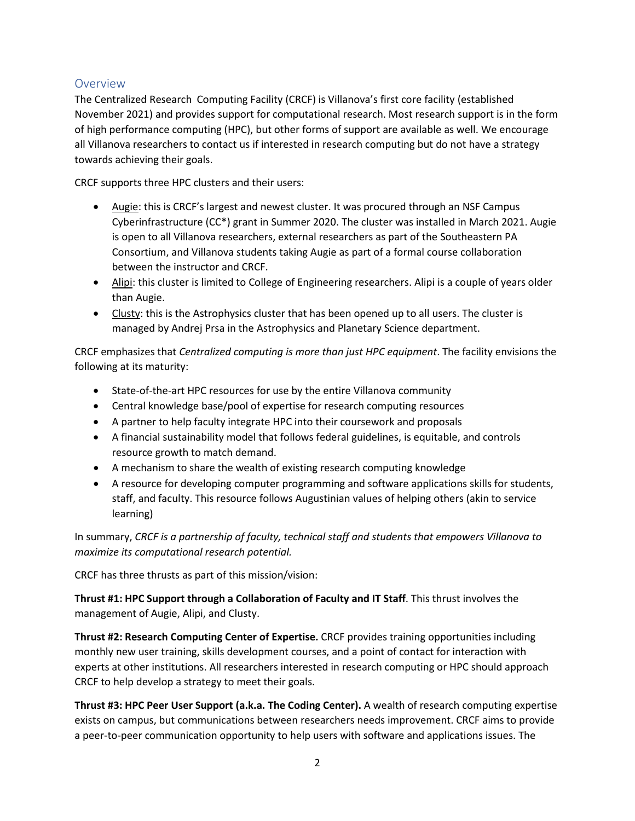# <span id="page-1-0"></span>**Overview**

The Centralized Research Computing Facility (CRCF) is Villanova's first core facility (established November 2021) and provides support for computational research. Most research support is in the form of high performance computing (HPC), but other forms of support are available as well. We encourage all Villanova researchers to contact us if interested in research computing but do not have a strategy towards achieving their goals.

CRCF supports three HPC clusters and their users:

- Augie: this is CRCF's largest and newest cluster. It was procured through an NSF Campus Cyberinfrastructure (CC\*) grant in Summer 2020. The cluster was installed in March 2021. Augie is open to all Villanova researchers, external researchers as part of the Southeastern PA Consortium, and Villanova students taking Augie as part of a formal course collaboration between the instructor and CRCF.
- Alipi: this cluster is limited to College of Engineering researchers. Alipi is a couple of years older than Augie.
- Clusty: this is the Astrophysics cluster that has been opened up to all users. The cluster is managed by Andrej Prsa in the Astrophysics and Planetary Science department.

CRCF emphasizes that *Centralized computing is more than just HPC equipment*. The facility envisions the following at its maturity:

- State-of-the-art HPC resources for use by the entire Villanova community
- Central knowledge base/pool of expertise for research computing resources
- A partner to help faculty integrate HPC into their coursework and proposals
- A financial sustainability model that follows federal guidelines, is equitable, and controls resource growth to match demand.
- A mechanism to share the wealth of existing research computing knowledge
- A resource for developing computer programming and software applications skills for students, staff, and faculty. This resource follows Augustinian values of helping others (akin to service learning)

In summary, *CRCF is a partnership of faculty, technical staff and students that empowers Villanova to maximize its computational research potential.*

CRCF has three thrusts as part of this mission/vision:

**Thrust #1: HPC Support through a Collaboration of Faculty and IT Staff**. This thrust involves the management of Augie, Alipi, and Clusty.

**Thrust #2: Research Computing Center of Expertise.** CRCF provides training opportunities including monthly new user training, skills development courses, and a point of contact for interaction with experts at other institutions. All researchers interested in research computing or HPC should approach CRCF to help develop a strategy to meet their goals.

**Thrust #3: HPC Peer User Support (a.k.a. The Coding Center).** A wealth of research computing expertise exists on campus, but communications between researchers needs improvement. CRCF aims to provide a peer-to-peer communication opportunity to help users with software and applications issues. The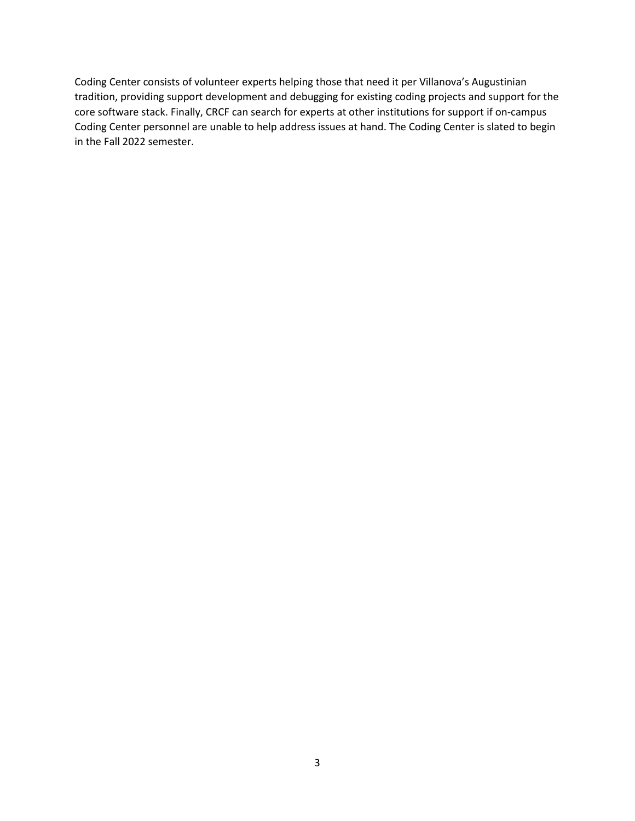Coding Center consists of volunteer experts helping those that need it per Villanova's Augustinian tradition, providing support development and debugging for existing coding projects and support for the core software stack. Finally, CRCF can search for experts at other institutions for support if on-campus Coding Center personnel are unable to help address issues at hand. The Coding Center is slated to begin in the Fall 2022 semester.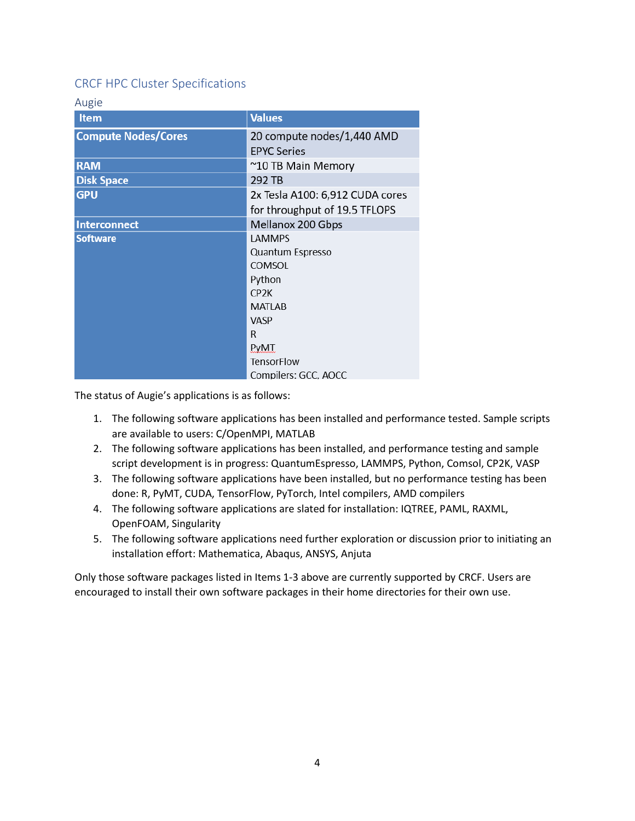# <span id="page-3-0"></span>CRCF HPC Cluster Specifications

<span id="page-3-1"></span>

| <b>Item</b>                | <b>Values</b>                                    |
|----------------------------|--------------------------------------------------|
| <b>Compute Nodes/Cores</b> | 20 compute nodes/1,440 AMD<br><b>EPYC Series</b> |
| <b>RAM</b>                 | ~10 TB Main Memory                               |
| <b>Disk Space</b>          | 292 TB                                           |
| <b>GPU</b>                 | 2x Tesla A100: 6,912 CUDA cores                  |
|                            | for throughput of 19.5 TFLOPS                    |
| <b>Interconnect</b>        | Mellanox 200 Gbps                                |
| <b>Software</b>            | <b>LAMMPS</b>                                    |
|                            | Quantum Espresso                                 |
|                            | COMSOL                                           |
|                            | Python                                           |
|                            | CP <sub>2</sub> K                                |
|                            | <b>MATLAB</b>                                    |
|                            | <b>VASP</b>                                      |
|                            | R                                                |
|                            | <b>PyMT</b>                                      |
|                            | <b>TensorFlow</b>                                |
|                            | Compilers: GCC, AOCC                             |

The status of Augie's applications is as follows:

- 1. The following software applications has been installed and performance tested. Sample scripts are available to users: C/OpenMPI, MATLAB
- 2. The following software applications has been installed, and performance testing and sample script development is in progress: QuantumEspresso, LAMMPS, Python, Comsol, CP2K, VASP
- 3. The following software applications have been installed, but no performance testing has been done: R, PyMT, CUDA, TensorFlow, PyTorch, Intel compilers, AMD compilers
- 4. The following software applications are slated for installation: IQTREE, PAML, RAXML, OpenFOAM, Singularity
- 5. The following software applications need further exploration or discussion prior to initiating an installation effort: Mathematica, Abaqus, ANSYS, Anjuta

Only those software packages listed in Items 1-3 above are currently supported by CRCF. Users are encouraged to install their own software packages in their home directories for their own use.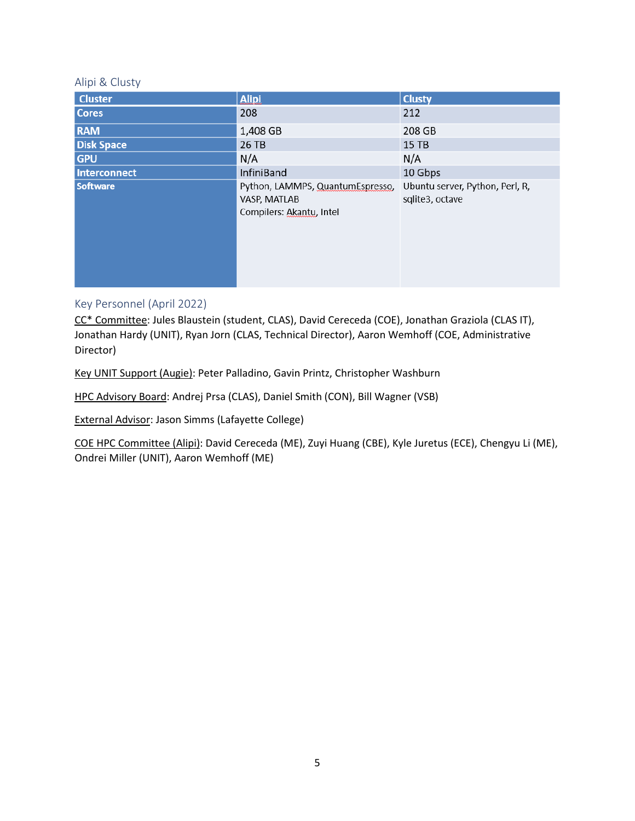#### <span id="page-4-0"></span>Alipi & Clusty

| <b>Cluster</b>    | <b>Alipi</b>                                                                 | <b>Clusty</b>                                      |
|-------------------|------------------------------------------------------------------------------|----------------------------------------------------|
| <b>Cores</b>      | 208                                                                          | 212                                                |
| <b>RAM</b>        | 1,408 GB                                                                     | 208 GB                                             |
| <b>Disk Space</b> | 26 TB                                                                        | $15$ TB                                            |
| <b>GPU</b>        | N/A                                                                          | N/A                                                |
| Interconnect      | <b>InfiniBand</b>                                                            | 10 Gbps                                            |
| <b>Software</b>   | Python, LAMMPS, QuantumEspresso,<br>VASP, MATLAB<br>Compilers: Akantu, Intel | Ubuntu server, Python, Perl, R,<br>sqlite3, octave |

#### <span id="page-4-1"></span>Key Personnel (April 2022)

CC\* Committee: Jules Blaustein (student, CLAS), David Cereceda (COE), Jonathan Graziola (CLAS IT), Jonathan Hardy (UNIT), Ryan Jorn (CLAS, Technical Director), Aaron Wemhoff (COE, Administrative Director)

Key UNIT Support (Augie): Peter Palladino, Gavin Printz, Christopher Washburn

HPC Advisory Board: Andrej Prsa (CLAS), Daniel Smith (CON), Bill Wagner (VSB)

External Advisor: Jason Simms (Lafayette College)

COE HPC Committee (Alipi): David Cereceda (ME), Zuyi Huang (CBE), Kyle Juretus (ECE), Chengyu Li (ME), Ondrei Miller (UNIT), Aaron Wemhoff (ME)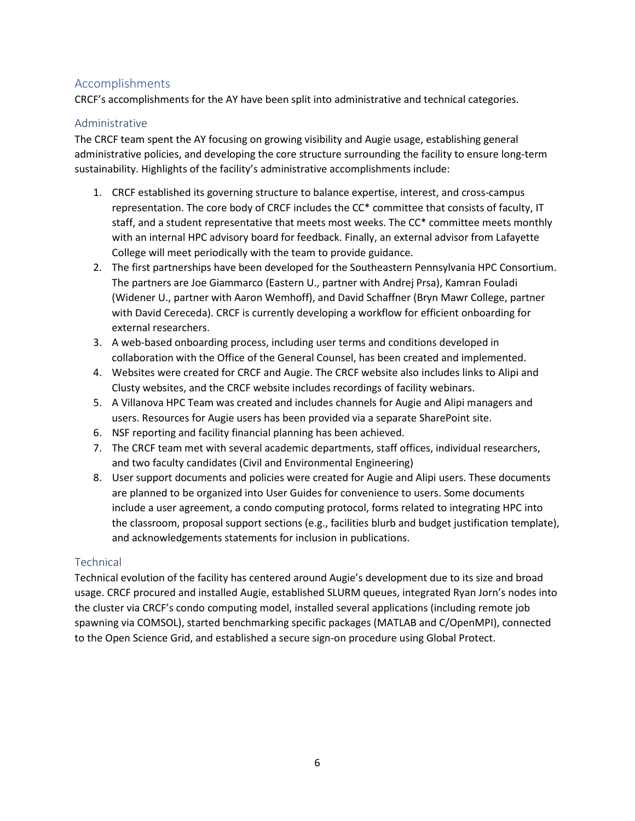# <span id="page-5-0"></span>Accomplishments

CRCF's accomplishments for the AY have been split into administrative and technical categories.

#### <span id="page-5-1"></span>Administrative

The CRCF team spent the AY focusing on growing visibility and Augie usage, establishing general administrative policies, and developing the core structure surrounding the facility to ensure long-term sustainability. Highlights of the facility's administrative accomplishments include:

- 1. CRCF established its governing structure to balance expertise, interest, and cross-campus representation. The core body of CRCF includes the CC\* committee that consists of faculty, IT staff, and a student representative that meets most weeks. The CC\* committee meets monthly with an internal HPC advisory board for feedback. Finally, an external advisor from Lafayette College will meet periodically with the team to provide guidance.
- 2. The first partnerships have been developed for the Southeastern Pennsylvania HPC Consortium. The partners are Joe Giammarco (Eastern U., partner with Andrej Prsa), Kamran Fouladi (Widener U., partner with Aaron Wemhoff), and David Schaffner (Bryn Mawr College, partner with David Cereceda). CRCF is currently developing a workflow for efficient onboarding for external researchers.
- 3. A web-based onboarding process, including user terms and conditions developed in collaboration with the Office of the General Counsel, has been created and implemented.
- 4. Websites were created for CRCF and Augie. The CRCF website also includes links to Alipi and Clusty websites, and the CRCF website includes recordings of facility webinars.
- 5. A Villanova HPC Team was created and includes channels for Augie and Alipi managers and users. Resources for Augie users has been provided via a separate SharePoint site.
- 6. NSF reporting and facility financial planning has been achieved.
- 7. The CRCF team met with several academic departments, staff offices, individual researchers, and two faculty candidates (Civil and Environmental Engineering)
- 8. User support documents and policies were created for Augie and Alipi users. These documents are planned to be organized into User Guides for convenience to users. Some documents include a user agreement, a condo computing protocol, forms related to integrating HPC into the classroom, proposal support sections (e.g., facilities blurb and budget justification template), and acknowledgements statements for inclusion in publications.

# <span id="page-5-2"></span>**Technical**

Technical evolution of the facility has centered around Augie's development due to its size and broad usage. CRCF procured and installed Augie, established SLURM queues, integrated Ryan Jorn's nodes into the cluster via CRCF's condo computing model, installed several applications (including remote job spawning via COMSOL), started benchmarking specific packages (MATLAB and C/OpenMPI), connected to the Open Science Grid, and established a secure sign-on procedure using Global Protect.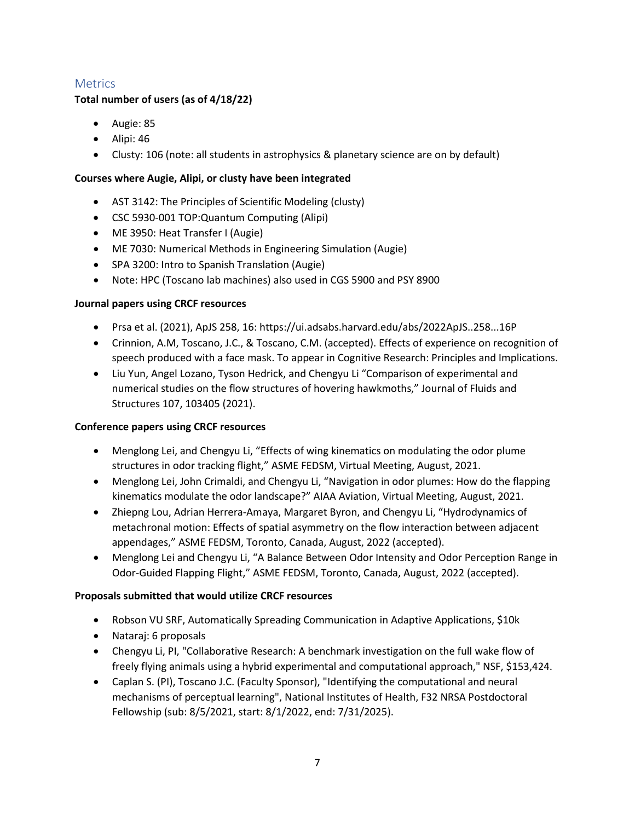# <span id="page-6-0"></span>**Metrics**

#### **Total number of users (as of 4/18/22)**

- Augie: 85
- Alipi: 46
- Clusty: 106 (note: all students in astrophysics & planetary science are on by default)

#### **Courses where Augie, Alipi, or clusty have been integrated**

- AST 3142: The Principles of Scientific Modeling (clusty)
- CSC 5930-001 TOP:Quantum Computing (Alipi)
- ME 3950: Heat Transfer I (Augie)
- ME 7030: Numerical Methods in Engineering Simulation (Augie)
- SPA 3200: Intro to Spanish Translation (Augie)
- Note: HPC (Toscano lab machines) also used in CGS 5900 and PSY 8900

#### **Journal papers using CRCF resources**

- Prsa et al. (2021), ApJS 258, 16: https://ui.adsabs.harvard.edu/abs/2022ApJS..258...16P
- Crinnion, A.M, Toscano, J.C., & Toscano, C.M. (accepted). Effects of experience on recognition of speech produced with a face mask. To appear in Cognitive Research: Principles and Implications.
- Liu Yun, Angel Lozano, Tyson Hedrick, and Chengyu Li "Comparison of experimental and numerical studies on the flow structures of hovering hawkmoths," Journal of Fluids and Structures 107, 103405 (2021).

#### **Conference papers using CRCF resources**

- Menglong Lei, and Chengyu Li, "Effects of wing kinematics on modulating the odor plume structures in odor tracking flight," ASME FEDSM, Virtual Meeting, August, 2021.
- Menglong Lei, John Crimaldi, and Chengyu Li, "Navigation in odor plumes: How do the flapping kinematics modulate the odor landscape?" AIAA Aviation, Virtual Meeting, August, 2021.
- Zhiepng Lou, Adrian Herrera-Amaya, Margaret Byron, and Chengyu Li, "Hydrodynamics of metachronal motion: Effects of spatial asymmetry on the flow interaction between adjacent appendages," ASME FEDSM, Toronto, Canada, August, 2022 (accepted).
- Menglong Lei and Chengyu Li, "A Balance Between Odor Intensity and Odor Perception Range in Odor-Guided Flapping Flight," ASME FEDSM, Toronto, Canada, August, 2022 (accepted).

#### **Proposals submitted that would utilize CRCF resources**

- Robson VU SRF, Automatically Spreading Communication in Adaptive Applications, \$10k
- Nataraj: 6 proposals
- Chengyu Li, PI, "Collaborative Research: A benchmark investigation on the full wake flow of freely flying animals using a hybrid experimental and computational approach," NSF, \$153,424.
- Caplan S. (PI), Toscano J.C. (Faculty Sponsor), "Identifying the computational and neural mechanisms of perceptual learning", National Institutes of Health, F32 NRSA Postdoctoral Fellowship (sub: 8/5/2021, start: 8/1/2022, end: 7/31/2025).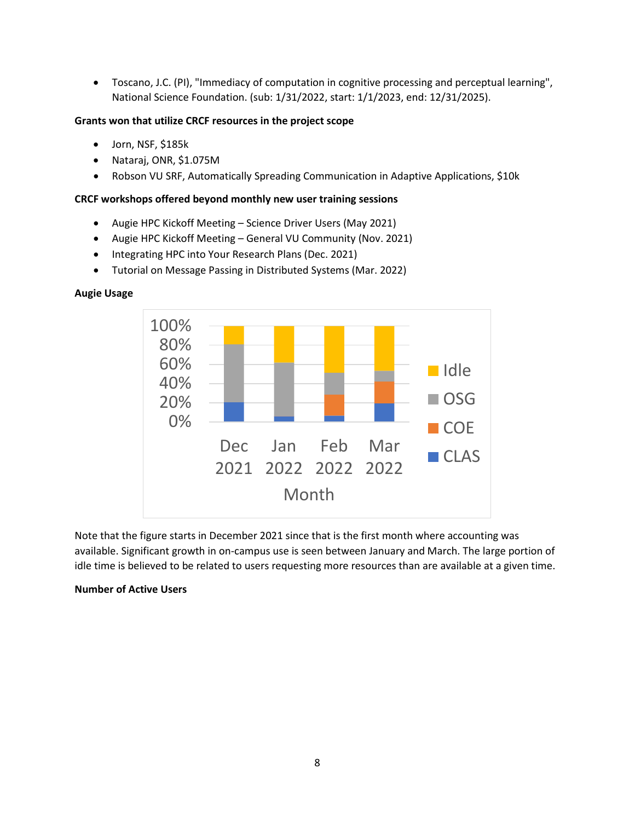• Toscano, J.C. (PI), "Immediacy of computation in cognitive processing and perceptual learning", National Science Foundation. (sub: 1/31/2022, start: 1/1/2023, end: 12/31/2025).

#### **Grants won that utilize CRCF resources in the project scope**

- Jorn, NSF, \$185k
- Nataraj, ONR, \$1.075M
- Robson VU SRF, Automatically Spreading Communication in Adaptive Applications, \$10k

#### **CRCF workshops offered beyond monthly new user training sessions**

- Augie HPC Kickoff Meeting Science Driver Users (May 2021)
- Augie HPC Kickoff Meeting General VU Community (Nov. 2021)
- Integrating HPC into Your Research Plans (Dec. 2021)
- Tutorial on Message Passing in Distributed Systems (Mar. 2022)



#### **Augie Usage**

Note that the figure starts in December 2021 since that is the first month where accounting was available. Significant growth in on-campus use is seen between January and March. The large portion of idle time is believed to be related to users requesting more resources than are available at a given time.

#### **Number of Active Users**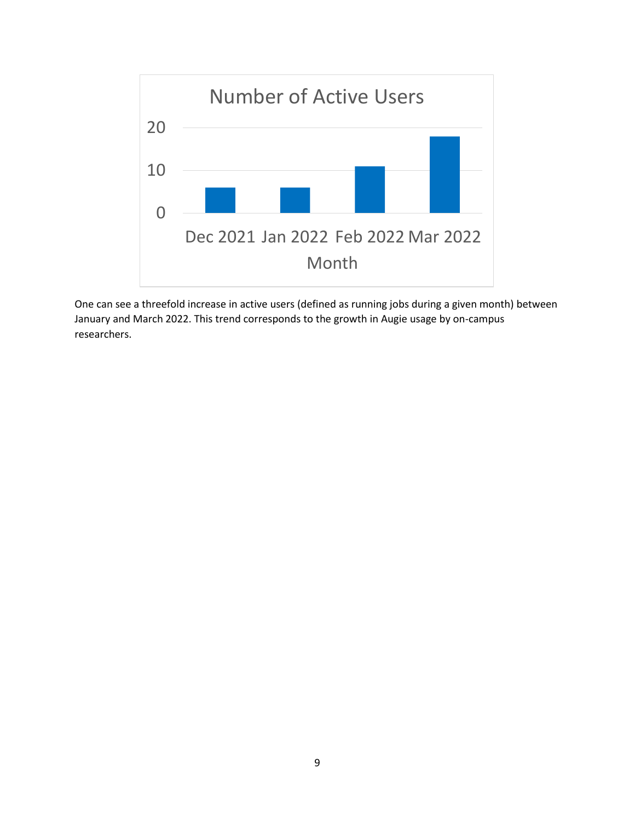

One can see a threefold increase in active users (defined as running jobs during a given month) between January and March 2022. This trend corresponds to the growth in Augie usage by on-campus researchers.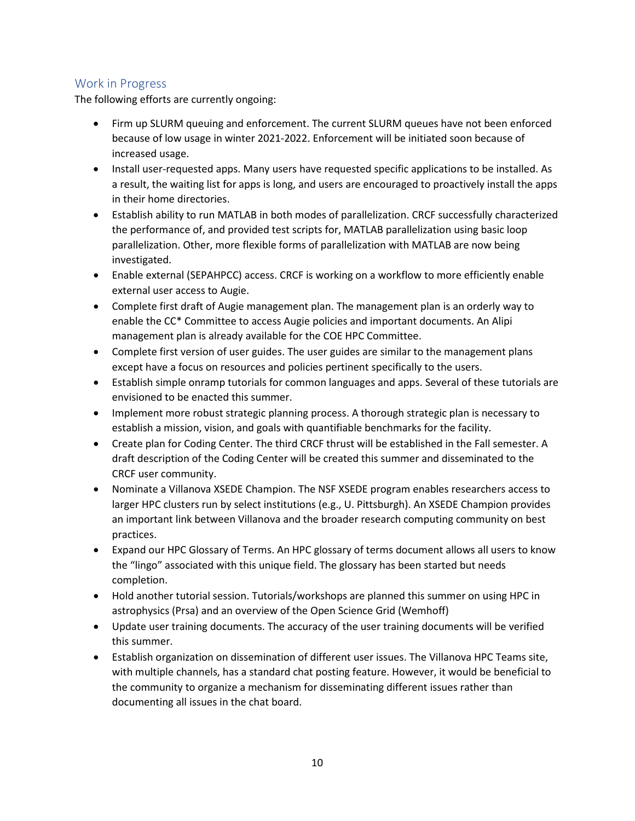# <span id="page-9-0"></span>Work in Progress

The following efforts are currently ongoing:

- Firm up SLURM queuing and enforcement. The current SLURM queues have not been enforced because of low usage in winter 2021-2022. Enforcement will be initiated soon because of increased usage.
- Install user-requested apps. Many users have requested specific applications to be installed. As a result, the waiting list for apps is long, and users are encouraged to proactively install the apps in their home directories.
- Establish ability to run MATLAB in both modes of parallelization. CRCF successfully characterized the performance of, and provided test scripts for, MATLAB parallelization using basic loop parallelization. Other, more flexible forms of parallelization with MATLAB are now being investigated.
- Enable external (SEPAHPCC) access. CRCF is working on a workflow to more efficiently enable external user access to Augie.
- Complete first draft of Augie management plan. The management plan is an orderly way to enable the CC\* Committee to access Augie policies and important documents. An Alipi management plan is already available for the COE HPC Committee.
- Complete first version of user guides. The user guides are similar to the management plans except have a focus on resources and policies pertinent specifically to the users.
- Establish simple onramp tutorials for common languages and apps. Several of these tutorials are envisioned to be enacted this summer.
- Implement more robust strategic planning process. A thorough strategic plan is necessary to establish a mission, vision, and goals with quantifiable benchmarks for the facility.
- Create plan for Coding Center. The third CRCF thrust will be established in the Fall semester. A draft description of the Coding Center will be created this summer and disseminated to the CRCF user community.
- Nominate a Villanova XSEDE Champion. The NSF XSEDE program enables researchers access to larger HPC clusters run by select institutions (e.g., U. Pittsburgh). An XSEDE Champion provides an important link between Villanova and the broader research computing community on best practices.
- Expand our HPC Glossary of Terms. An HPC glossary of terms document allows all users to know the "lingo" associated with this unique field. The glossary has been started but needs completion.
- Hold another tutorial session. Tutorials/workshops are planned this summer on using HPC in astrophysics (Prsa) and an overview of the Open Science Grid (Wemhoff)
- Update user training documents. The accuracy of the user training documents will be verified this summer.
- Establish organization on dissemination of different user issues. The Villanova HPC Teams site, with multiple channels, has a standard chat posting feature. However, it would be beneficial to the community to organize a mechanism for disseminating different issues rather than documenting all issues in the chat board.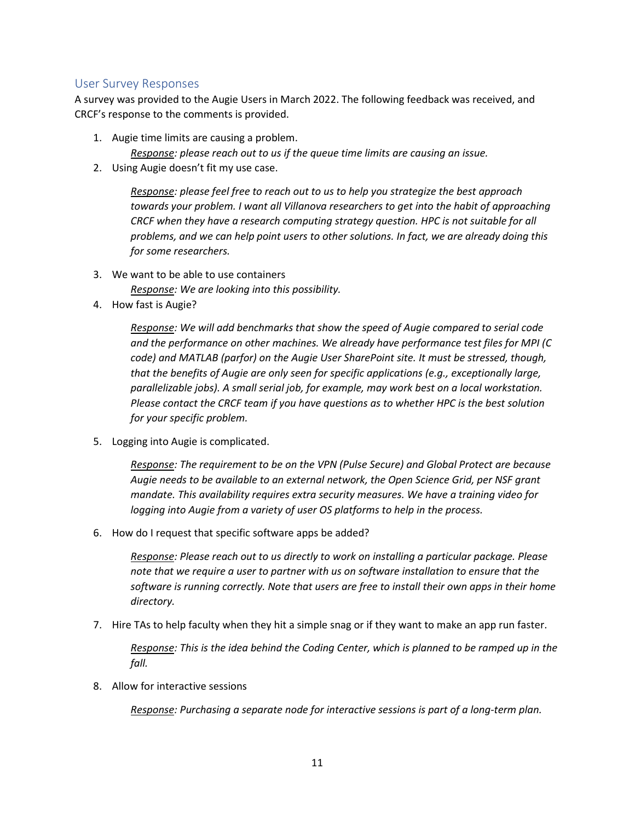#### <span id="page-10-0"></span>User Survey Responses

A survey was provided to the Augie Users in March 2022. The following feedback was received, and CRCF's response to the comments is provided.

1. Augie time limits are causing a problem.

*Response: please reach out to us if the queue time limits are causing an issue.*

2. Using Augie doesn't fit my use case.

*Response: please feel free to reach out to us to help you strategize the best approach towards your problem. I want all Villanova researchers to get into the habit of approaching*  CRCF when they have a research computing strategy question. HPC is not suitable for all *problems, and we can help point users to other solutions. In fact, we are already doing this for some researchers.*

- 3. We want to be able to use containers *Response: We are looking into this possibility.*
- 4. How fast is Augie?

*Response: We will add benchmarks that show the speed of Augie compared to serial code and the performance on other machines. We already have performance test files for MPI (C code) and MATLAB (parfor) on the Augie User SharePoint site. It must be stressed, though, that the benefits of Augie are only seen for specific applications (e.g., exceptionally large, parallelizable jobs). A small serial job, for example, may work best on a local workstation. Please contact the CRCF team if you have questions as to whether HPC is the best solution for your specific problem.*

5. Logging into Augie is complicated.

*Response: The requirement to be on the VPN (Pulse Secure) and Global Protect are because Augie needs to be available to an external network, the Open Science Grid, per NSF grant mandate. This availability requires extra security measures. We have a training video for logging into Augie from a variety of user OS platforms to help in the process.*

6. How do I request that specific software apps be added?

*Response: Please reach out to us directly to work on installing a particular package. Please note that we require a user to partner with us on software installation to ensure that the software is running correctly. Note that users are free to install their own apps in their home directory.*

7. Hire TAs to help faculty when they hit a simple snag or if they want to make an app run faster.

*Response: This is the idea behind the Coding Center, which is planned to be ramped up in the fall.*

8. Allow for interactive sessions

*Response: Purchasing a separate node for interactive sessions is part of a long-term plan.*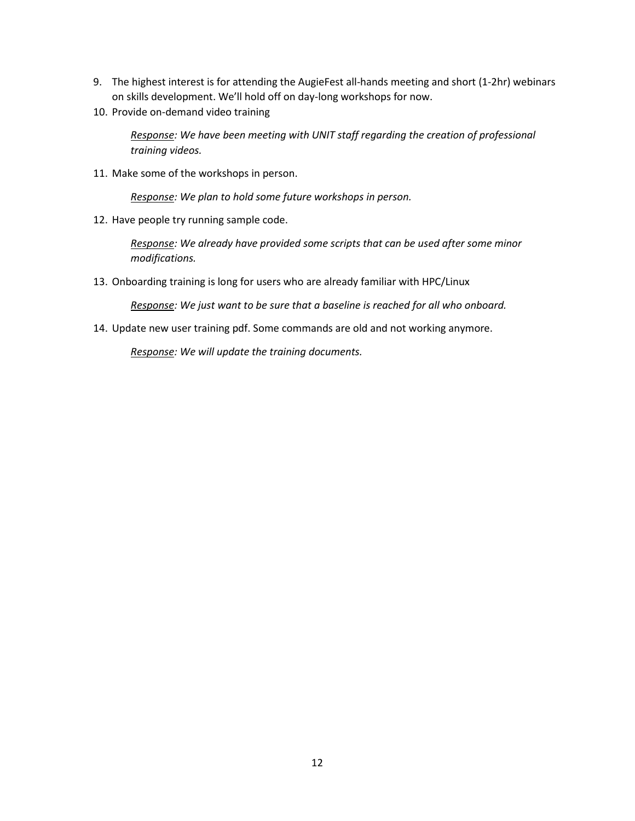- 9. The highest interest is for attending the AugieFest all-hands meeting and short (1-2hr) webinars on skills development. We'll hold off on day-long workshops for now.
- 10. Provide on-demand video training

*Response: We have been meeting with UNIT staff regarding the creation of professional training videos.*

11. Make some of the workshops in person.

*Response: We plan to hold some future workshops in person.*

12. Have people try running sample code.

*Response: We already have provided some scripts that can be used after some minor modifications.*

13. Onboarding training is long for users who are already familiar with HPC/Linux

*Response: We just want to be sure that a baseline is reached for all who onboard.*

14. Update new user training pdf. Some commands are old and not working anymore.

*Response: We will update the training documents.*